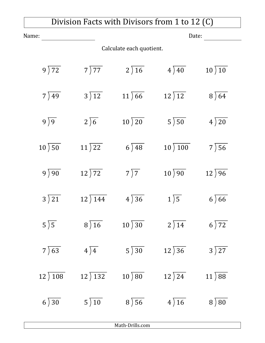## Division Facts with Divisors from 1 to 12 (C)

| Name:                            |                            | Date:                       |                            |                            |  |  |
|----------------------------------|----------------------------|-----------------------------|----------------------------|----------------------------|--|--|
| Calculate each quotient.         |                            |                             |                            |                            |  |  |
| $9\overline{)72}$                | 7)77                       | $2\sqrt{16}$                | $4\overline{)40}$          | $10\overline{\smash{)}10}$ |  |  |
| $7\overline{)49}$                | $3\overline{\smash{)}12}$  | $11\overline{)66}$          | 12)12                      | $8\sqrt{64}$               |  |  |
| $9\sqrt{9}$                      | $2\sqrt{6}$                | $10\overline{\smash{)}20}$  | $5\overline{\smash{)}50}$  | $4\overline{)20}$          |  |  |
| $10\overline{\smash{\big)}\,50}$ | $11\overline{\smash{)}22}$ | $6\overline{\smash{)}\,48}$ | $10\overline{\smash)100}$  | $7\overline{)56}$          |  |  |
| $9\sqrt{90}$                     | $12\overline{\smash{)}72}$ | $7\overline{)7}$            | $10\overline{\smash{)}90}$ | $12\sqrt{96}$              |  |  |
| $3\overline{\smash{)}21}$        | $12)$ 144                  | $4\overline{)36}$           | $1\sqrt{5}$                | $6\sqrt{66}$               |  |  |
| $5\overline{\smash)5}$           | $8\overline{)16}$          | $10\overline{\smash{)}30}$  | $2\overline{\smash{)}14}$  | $6\overline{\smash{)}72}$  |  |  |
| $7\sqrt{63}$                     | $4\sqrt{4}$                | $5\overline{\smash{)}30}$   | $12\overline{\smash{)}36}$ | $3\overline{\smash{)}27}$  |  |  |
| 12) 108                          | $12)$ 132                  | $10\overline{\smash{)}80}$  | $12\overline{\smash{)}24}$ | $11\overline{\smash{)}88}$ |  |  |
| $6\overline{)30}$                | $5\overline{\smash{)}10}$  | $8\sqrt{56}$                | $4\overline{)16}$          | $8\sqrt{80}$               |  |  |

Math-Drills.com